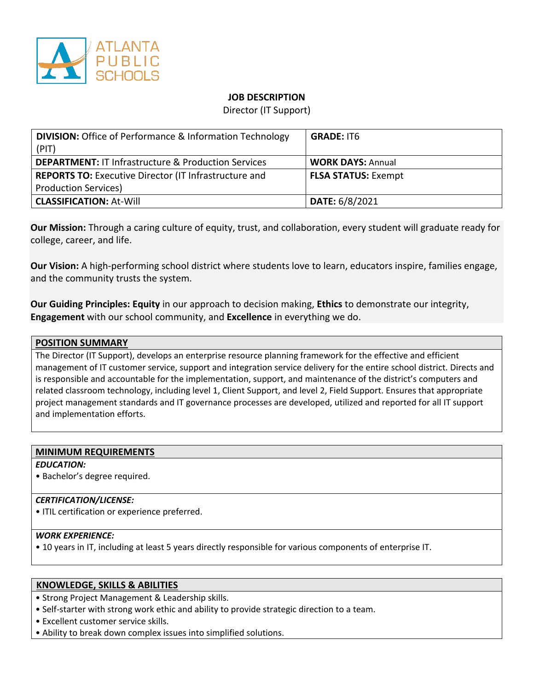

## **JOB DESCRIPTION**

Director (IT Support)

| <b>DIVISION:</b> Office of Performance & Information Technology<br>(PIT) | <b>GRADE: IT6</b>          |
|--------------------------------------------------------------------------|----------------------------|
| <b>DEPARTMENT: IT Infrastructure &amp; Production Services</b>           | <b>WORK DAYS: Annual</b>   |
| <b>REPORTS TO:</b> Executive Director (IT Infrastructure and             | <b>FLSA STATUS: Exempt</b> |
| <b>Production Services)</b>                                              |                            |
| <b>CLASSIFICATION: At-Will</b>                                           | DATE: 6/8/2021             |

**Our Mission:** Through a caring culture of equity, trust, and collaboration, every student will graduate ready for college, career, and life.

**Our Vision:** A high-performing school district where students love to learn, educators inspire, families engage, and the community trusts the system.

**Our Guiding Principles: Equity** in our approach to decision making, **Ethics** to demonstrate our integrity, **Engagement** with our school community, and **Excellence** in everything we do.

#### **POSITION SUMMARY**

The Director (IT Support), develops an enterprise resource planning framework for the effective and efficient management of IT customer service, support and integration service delivery for the entire school district. Directs and is responsible and accountable for the implementation, support, and maintenance of the district's computers and related classroom technology, including level 1, Client Support, and level 2, Field Support. Ensures that appropriate project management standards and IT governance processes are developed, utilized and reported for all IT support and implementation efforts.

# **MINIMUM REQUIREMENTS**

#### *EDUCATION:*

• Bachelor's degree required.

#### *CERTIFICATION/LICENSE:*

• ITIL certification or experience preferred.

### *WORK EXPERIENCE:*

• 10 years in IT, including at least 5 years directly responsible for various components of enterprise IT.

### **KNOWLEDGE, SKILLS & ABILITIES**

• Strong Project Management & Leadership skills.

- Self-starter with strong work ethic and ability to provide strategic direction to a team.
- Excellent customer service skills.
- Ability to break down complex issues into simplified solutions.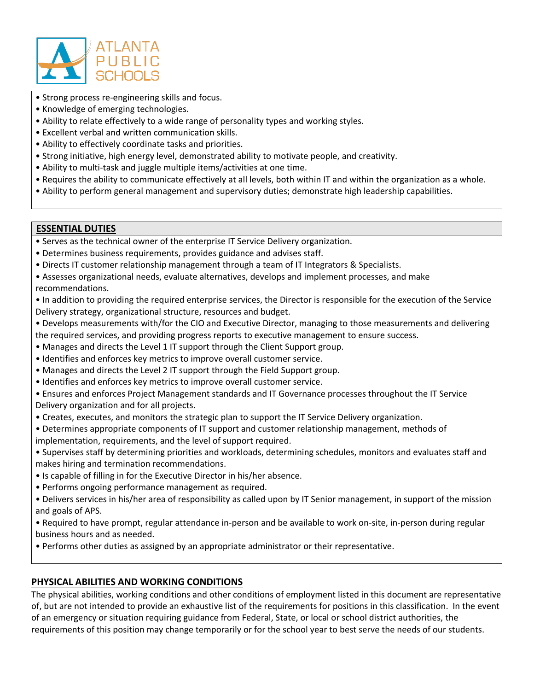

- Strong process re-engineering skills and focus.
- Knowledge of emerging technologies.
- Ability to relate effectively to a wide range of personality types and working styles.
- Excellent verbal and written communication skills.
- Ability to effectively coordinate tasks and priorities.
- Strong initiative, high energy level, demonstrated ability to motivate people, and creativity.
- Ability to multi-task and juggle multiple items/activities at one time.
- Requires the ability to communicate effectively at all levels, both within IT and within the organization as a whole.
- Ability to perform general management and supervisory duties; demonstrate high leadership capabilities.

### **ESSENTIAL DUTIES**

• Serves as the technical owner of the enterprise IT Service Delivery organization.

- Determines business requirements, provides guidance and advises staff.
- Directs IT customer relationship management through a team of IT Integrators & Specialists.
- Assesses organizational needs, evaluate alternatives, develops and implement processes, and make recommendations.
- In addition to providing the required enterprise services, the Director is responsible for the execution of the Service Delivery strategy, organizational structure, resources and budget.
- Develops measurements with/for the CIO and Executive Director, managing to those measurements and delivering the required services, and providing progress reports to executive management to ensure success.
- Manages and directs the Level 1 IT support through the Client Support group.
- Identifies and enforces key metrics to improve overall customer service.
- Manages and directs the Level 2 IT support through the Field Support group.
- Identifies and enforces key metrics to improve overall customer service.
- Ensures and enforces Project Management standards and IT Governance processes throughout the IT Service Delivery organization and for all projects.
- Creates, executes, and monitors the strategic plan to support the IT Service Delivery organization.
- Determines appropriate components of IT support and customer relationship management, methods of implementation, requirements, and the level of support required.
- Supervises staff by determining priorities and workloads, determining schedules, monitors and evaluates staff and makes hiring and termination recommendations.
- Is capable of filling in for the Executive Director in his/her absence.
- Performs ongoing performance management as required.
- Delivers services in his/her area of responsibility as called upon by IT Senior management, in support of the mission and goals of APS.
- Required to have prompt, regular attendance in-person and be available to work on-site, in-person during regular business hours and as needed.
- Performs other duties as assigned by an appropriate administrator or their representative.

# **PHYSICAL ABILITIES AND WORKING CONDITIONS**

The physical abilities, working conditions and other conditions of employment listed in this document are representative of, but are not intended to provide an exhaustive list of the requirements for positions in this classification. In the event of an emergency or situation requiring guidance from Federal, State, or local or school district authorities, the requirements of this position may change temporarily or for the school year to best serve the needs of our students.